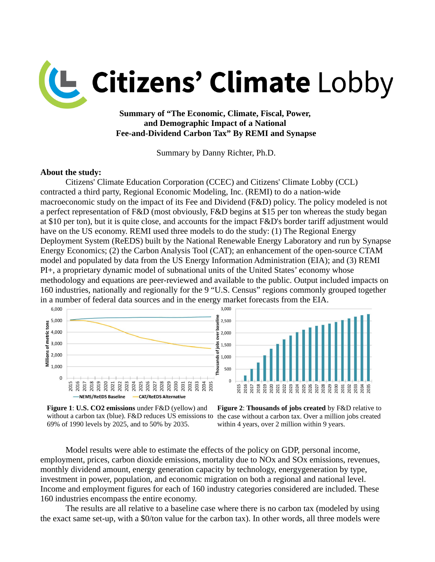

**Summary of "The Economic, Climate, Fiscal, Power, and Demographic Impact of a National Fee-and-Dividend Carbon Tax" By REMI and Synapse**

Summary by Danny Richter, Ph.D.

#### **About the study:**

Citizens' Climate Education Corporation (CCEC) and Citizens' Climate Lobby (CCL) contracted a third party, Regional Economic Modeling, Inc. (REMI) to do a nation-wide macroeconomic study on the impact of its Fee and Dividend (F&D) policy. The policy modeled is not a perfect representation of F&D (most obviously, F&D begins at \$15 per ton whereas the study began at \$10 per ton), but it is quite close, and accounts for the impact F&D's border tariff adjustment would have on the US economy. REMI used three models to do the study: (1) The Regional Energy Deployment System (ReEDS) built by the National Renewable Energy Laboratory and run by Synapse Energy Economics; (2) the Carbon Analysis Tool (CAT); an enhancement of the open-source CTAM model and populated by data from the US Energy Information Administration (EIA); and (3) REMI PI+, a proprietary dynamic model of subnational units of the United States' economy whose methodology and equations are peer-reviewed and available to the public. Output included impacts on 160 industries, nationally and regionally for the 9 "U.S. Census" regions commonly grouped together in a number of federal data sources and in the energy market forecasts from the EIA.







Model results were able to estimate the effects of the policy on GDP, personal income, employment, prices, carbon dioxide emissions, mortality due to NOx and SOx emissions, revenues, monthly dividend amount, energy generation capacity by technology, energygeneration by type, investment in power, population, and economic migration on both a regional and national level. Income and employment figures for each of 160 industry categories considered are included. These 160 industries encompass the entire economy.

The results are all relative to a baseline case where there is no carbon tax (modeled by using the exact same set-up, with a \$0/ton value for the carbon tax). In other words, all three models were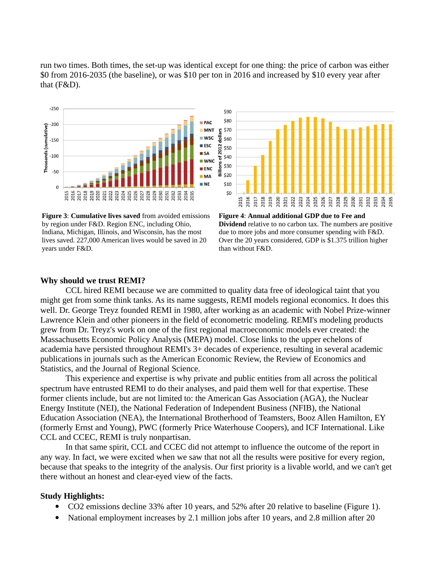run two times. Both times, the set-up was identical except for one thing: the price of carbon was either \$0 from 2016-2035 (the baseline), or was \$10 per ton in 2016 and increased by \$10 every year after that (F&D).



**Figure 3**: **Cumulative lives saved** from avoided emissions by region under F&D. Region ENC, including Ohio, Indiana, Michigan, Illinois, and Wisconsin, has the most lives saved. 227,000 American lives would be saved in 20 years under F&D.



**Figure 4**: **Annual additional GDP due to Fee and Dividend** relative to no carbon tax. The numbers are positive due to more jobs and more consumer spending with F&D. Over the 20 years considered, GDP is \$1.375 trillion higher than without F&D.

## **Why should we trust REMI?**

CCL hired REMI because we are committed to quality data free of ideological taint that you might get from some think tanks. As its name suggests, REMI models regional economics. It does this well. Dr. George Treyz founded REMI in 1980, after working as an academic with Nobel Prize-winner Lawrence Klein and other pioneers in the field of econometric modeling. REMI's modeling products grew from Dr. Treyz's work on one of the first regional macroeconomic models ever created: the Massachusetts Economic Policy Analysis (MEPA) model. Close links to the upper echelons of academia have persisted throughout REMI's 3+ decades of experience, resulting in several academic publications in journals such as the American Economic Review, the Review of Economics and Statistics, and the Journal of Regional Science.

This experience and expertise is why private and public entities from all across the political spectrum have entrusted REMI to do their analyses, and paid them well for that expertise. These former clients include, but are not limited to: the American Gas Association (AGA), the Nuclear Energy Institute (NEI), the National Federation of Independent Business (NFIB), the National Education Association (NEA), the International Brotherhood of Teamsters, Booz Allen Hamilton, EY (formerly Ernst and Young), PWC (formerly Price Waterhouse Coopers), and ICF International. Like CCL and CCEC, REMI is truly nonpartisan.

In that same spirit, CCL and CCEC did not attempt to influence the outcome of the report in any way. In fact, we were excited when we saw that not all the results were positive for every region, because that speaks to the integrity of the analysis. Our first priority is a livable world, and we can't get there without an honest and clear-eyed view of the facts.

### **Study Highlights:**

- CO2 emissions decline 33% after 10 years, and 52% after 20 relative to baseline (Figure 1).
- National employment increases by 2.1 million jobs after 10 years, and 2.8 million after 20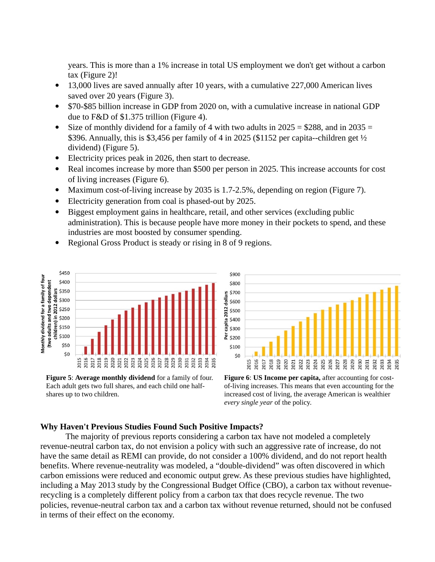years. This is more than a 1% increase in total US employment we don't get without a carbon tax (Figure 2)!

- 13,000 lives are saved annually after 10 years, with a cumulative 227,000 American lives saved over 20 years (Figure 3).
- \$70-\$85 billion increase in GDP from 2020 on, with a cumulative increase in national GDP due to F&D of \$1.375 trillion (Figure 4).
- Size of monthly dividend for a family of 4 with two adults in  $2025 = $288$ , and in  $2035 =$ \$396. Annually, this is \$3,456 per family of 4 in 2025 (\$1152 per capita--children get  $\frac{1}{2}$ ) dividend) (Figure 5).
- Electricity prices peak in 2026, then start to decrease.
- Real incomes increase by more than \$500 per person in 2025. This increase accounts for cost of living increases (Figure 6).
- Maximum cost-of-living increase by 2035 is 1.7-2.5%, depending on region (Figure 7).
- Electricity generation from coal is phased-out by 2025.
- Biggest employment gains in healthcare, retail, and other services (excluding public administration). This is because people have more money in their pockets to spend, and these industries are most boosted by consumer spending.
- Regional Gross Product is steady or rising in 8 of 9 regions.



**Figure 5**: **Average monthly dividend** for a family of four. Each adult gets two full shares, and each child one halfshares up to two children.



**Figure 6**: **US Income per capita,** after accounting for costof-living increases. This means that even accounting for the increased cost of living, the average American is wealthier *every single year* of the policy.

# **Why Haven't Previous Studies Found Such Positive Impacts?**

The majority of previous reports considering a carbon tax have not modeled a completely revenue-neutral carbon tax, do not envision a policy with such an aggressive rate of increase, do not have the same detail as REMI can provide, do not consider a 100% dividend, and do not report health benefits. Where revenue-neutrality was modeled, a "double-dividend" was often discovered in which carbon emissions were reduced and economic output grew. As these previous studies have highlighted, including a May 2013 study by the Congressional Budget Office (CBO), a carbon tax without revenuerecycling is a completely different policy from a carbon tax that does recycle revenue. The two policies, revenue-neutral carbon tax and a carbon tax without revenue returned, should not be confused in terms of their effect on the economy.